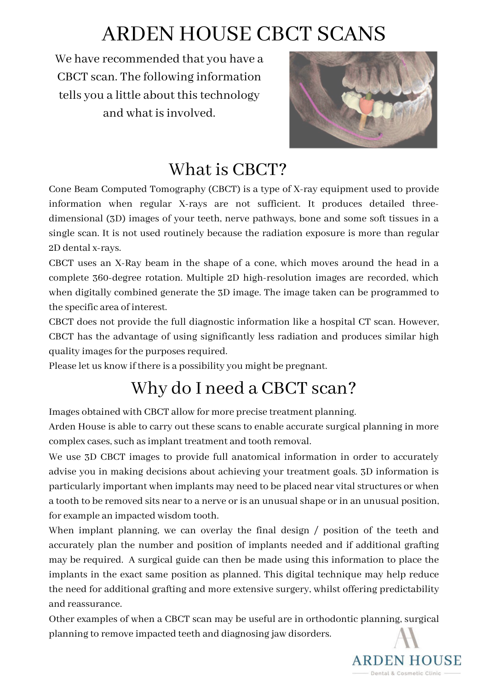# ARDEN HOUSE CBCT SCANS

We have recommended that you have a CBCT scan. The following information tells you a little about this technology and what isinvolved.



### What is CBCT?

Cone Beam Computed Tomography (CBCT) is a type of X-ray equipment used to provide information when regular X-rays are not sufficient. It produces detailed threedimensional (3D) images of your teeth, nerve pathways, bone and some soft tissues in a single scan. It is not used routinely because the radiation exposure is more than regular 2D dental x-rays.

CBCT uses an X-Ray beam in the shape of a cone, which moves around the head in a complete 360-degree rotation. Multiple 2D high-resolution images are recorded, which when digitally combined generate the 3D image. The image taken can be programmed to the specific area of interest.

CBCT does not provide the full diagnostic information like a hospital CT scan. However, CBCT has the advantage of using significantly less radiation and produces similar high quality images for the purposes required.

Please let us know if there is a possibility you might be pregnant.

# Why do I need a CBCT scan?

Images obtained with CBCT allow for more precise treatment planning.

Arden House is able to carry out these scans to enable accurate surgical planning in more complex cases, such as implant treatment and tooth removal.

We use 3D CBCT images to provide full anatomical information in order to accurately advise you in making decisions about achieving your treatment goals. 3D information is particularly important when implants may need to be placed near vital structures or when a tooth to be removed sits near to a nerve or is an unusual shape or in an unusual position, for example an impacted wisdom tooth.

When implant planning, we can overlay the final design / position of the teeth and accurately plan the number and position of implants needed and if additional grafting may be required. A surgical guide can then be made using this information to place the implants in the exact same position as planned. This digital technique may help reduce the need for additional grafting and more extensive surgery, whilst offering predictability and reassurance.

Other examples of when a CBCT scan may be useful are in orthodontic planning, surgical planning to remove impacted teeth and diagnosing jaw disorders.